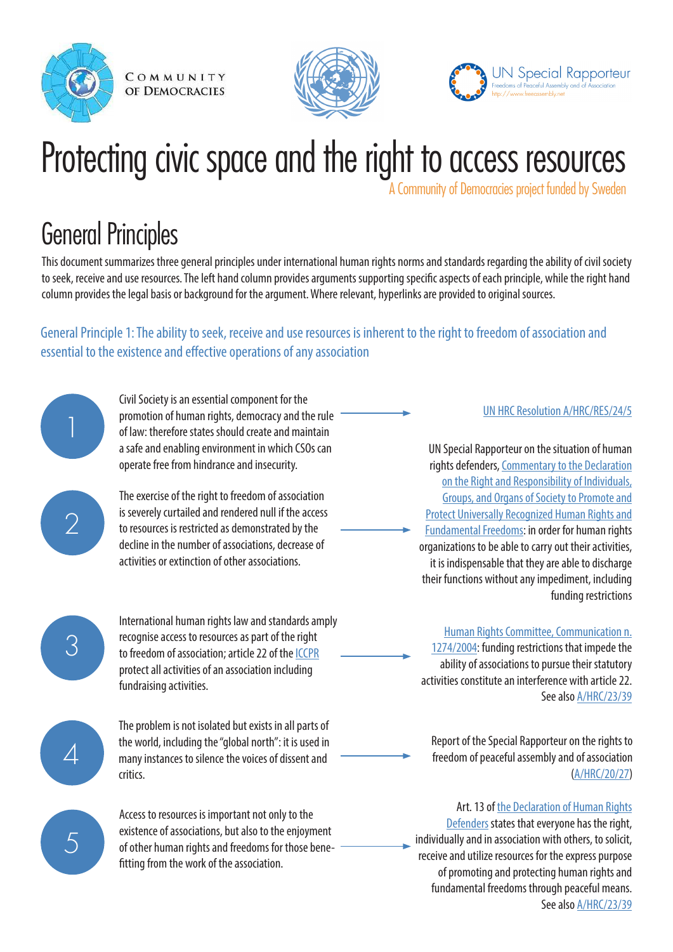





# Protecting civic space and the right to access resources

A Community of Democracies project funded by Sweden

# General Principles

This document summarizes three general principles under international human rights norms and standards regarding the ability of civil society to seek, receive and use resources. The left hand column provides arguments supporting specific aspects of each principle, while the right hand column provides the legal basis or background for the argument. Where relevant, hyperlinks are provided to original sources.

General Principle 1: The ability to seek, receive and use resources is inherent to the right to freedom of association and essential to the existence and effective operations of any association



2

Civil Society is an essential component for the promotion of human rights, democracy and the rule of law: therefore states should create and maintain a safe and enabling environment in which CSOs can operate free from hindrance and insecurity.

The exercise of the right to freedom of association is severely curtailed and rendered null if the access to resources is restricted as demonstrated by the decline in the number of associations, decrease of activities or extinction of other associations.



International human rights law and standards amply recognise access to resources as part of the right to freedom of association; article 22 of the [ICCPR](http://www.ohchr.org/en/professionalinterest/pages/ccpr.aspx) protect all activities of an association including fundraising activities.

4

5

The problem is not isolated but exists in all parts of the world, including the "global north": it is used in many instances to silence the voices of dissent and critics.

Access to resources is important not only to the existence of associations, but also to the enjoyment of other human rights and freedoms for those benefitting from the work of the association.

#### [UN HRC Resolution A/HRC/RES/24/5](http://freeassembly.net/wp-content/uploads/2013/08/A-HRC-RES-24-5-ENG.pdf)

UN Special Rapporteur on the situation of human rights defenders, [Commentary to the Declaration](http://www.ohchr.org/Documents/Issues/Defenders/CommentarytoDeclarationondefendersJuly2011.pdf) [on the Right and Responsibility of Individuals,](http://www.ohchr.org/Documents/Issues/Defenders/CommentarytoDeclarationondefendersJuly2011.pdf) [Groups, and Organs of Society to Promote and](http://www.ohchr.org/Documents/Issues/Defenders/CommentarytoDeclarationondefendersJuly2011.pdf) [Protect Universally Recognized Human Rights and](http://www.ohchr.org/Documents/Issues/Defenders/CommentarytoDeclarationondefendersJuly2011.pdf) [Fundamental Freedoms](http://www.ohchr.org/Documents/Issues/Defenders/CommentarytoDeclarationondefendersJuly2011.pdf): in order for human rights organizations to be able to carry out their activities, it is indispensable that they are able to discharge their functions without any impediment, including funding restrictions

[Human Rights Committee, Communication n.](http://www1.umn.edu/humanrts/undocs/1274-2004.html)

[1274/2004](http://www1.umn.edu/humanrts/undocs/1274-2004.html): funding restrictions that impede the ability of associations to pursue their statutory activities constitute an interference with article 22. See also [A/HRC/23/39](http://freeassembly.net/rapporteurreports/funding-report/)

Report of the Special Rapporteur on the rights to freedom of peaceful assembly and of association [\(A/HRC/20/27\)](http://freeassembly.net/rapporteurreports/report-best-practices-in-promoting-freedoms-of-assembly-and-association-ahrc2027/)

Art. 13 of [the Declaration of Human Rights](http://www.ohchr.org/EN/Issues/SRHRDefenders/Pages/Translation.aspx) [Defenders](http://www.ohchr.org/EN/Issues/SRHRDefenders/Pages/Translation.aspx) states that everyone has the right, individually and in association with others, to solicit, receive and utilize resources for the express purpose of promoting and protecting human rights and fundamental freedoms through peaceful means. See also [A/HRC/23/39](http://freeassembly.net/rapporteurreports/funding-report/)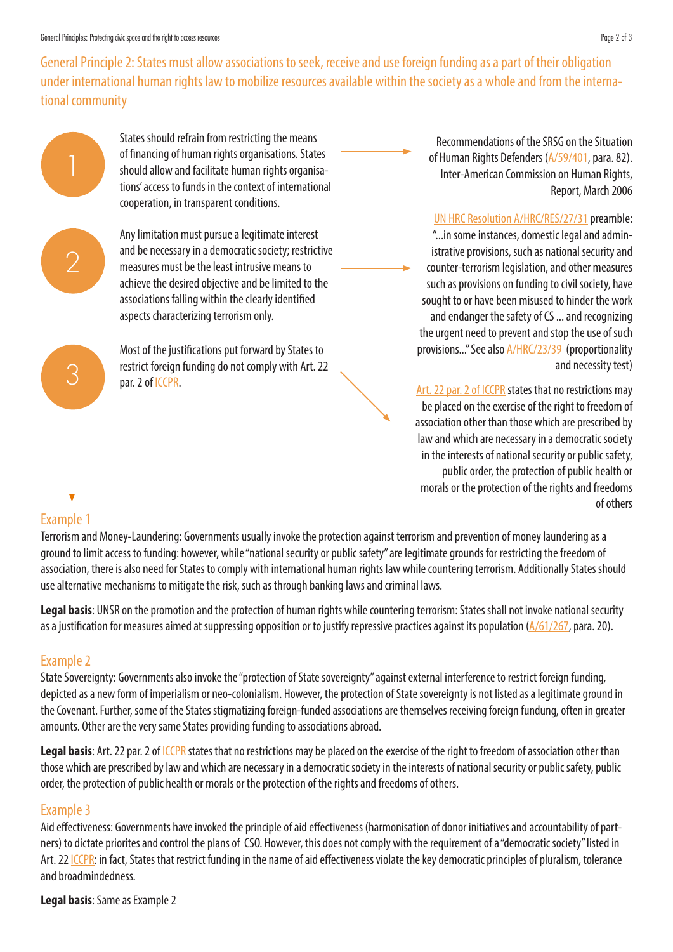General Principle 2: States must allow associations to seek, receive and use foreign funding as a part of their obligation under international human rights law to mobilize resources available within the society as a whole and from the international community



States should refrain from restricting the means of financing of human rights organisations. States should allow and facilitate human rights organisations' access to funds in the context of international cooperation, in transparent conditions.



3

Any limitation must pursue a legitimate interest and be necessary in a democratic society; restrictive measures must be the least intrusive means to achieve the desired objective and be limited to the associations falling within the clearly identified aspects characterizing terrorism only.

Most of the justifications put forward by States to restrict foreign funding do not comply with Art. 22 par. 2 of [ICCPR](http://www.ohchr.org/en/professionalinterest/pages/ccpr.aspx).

Recommendations of the SRSG on the Situation of Human Rights Defenders [\(A/59/401](http://www.refworld.org/docid/4267bfd84.html), para. 82). Inter-American Commission on Human Rights, Report, March 2006

[UN HRC Resolution A/HRC/RES/27/31](http://freeassembly.net/wp-content/uploads/2014/11/A_HRC_27_L.24-ENG.pdf) preamble: "...in some instances, domestic legal and administrative provisions, such as national security and counter-terrorism legislation, and other measures such as provisions on funding to civil society, have sought to or have been misused to hinder the work and endanger the safety of CS ... and recognizing the urgent need to prevent and stop the use of such provisions..." See also [A/HRC/23/39](http://freeassembly.net/rapporteurreports/funding-report/) (proportionality and necessity test)

[Art. 22 par. 2 of ICCPR](http://www.ohchr.org/en/professionalinterest/pages/ccpr.aspx) states that no restrictions may be placed on the exercise of the right to freedom of association other than those which are prescribed by law and which are necessary in a democratic society in the interests of national security or public safety, public order, the protection of public health or morals or the protection of the rights and freedoms of others

#### Example 1

Terrorism and Money-Laundering: Governments usually invoke the protection against terrorism and prevention of money laundering as a ground to limit access to funding: however, while "national security or public safety" are legitimate grounds for restricting the freedom of association, there is also need for States to comply with international human rights law while countering terrorism. Additionally States should use alternative mechanisms to mitigate the risk, such as through banking laws and criminal laws.

**Legal basis**: UNSR on the promotion and the protection of human rights while countering terrorism: States shall not invoke national security as a justification for measures aimed at suppressing opposition or to justify repressive practices against its population  $(A/61/267,$  $(A/61/267,$  para. 20).

## Example 2

State Sovereignty: Governments also invoke the "protection of State sovereignty" against external interference to restrict foreign funding, depicted as a new form of imperialism or neo-colonialism. However, the protection of State sovereignty is not listed as a legitimate ground in the Covenant. Further, some of the States stigmatizing foreign-funded associations are themselves receiving foreign fundung, often in greater amounts. Other are the very same States providing funding to associations abroad.

**Legal basis**: Art. 22 par. 2 of ICCPR states that no restrictions may be placed on the exercise of the right to freedom of association other than those which are prescribed by law and which are necessary in a democratic society in the interests of national security or public safety, public order, the protection of public health or morals or the protection of the rights and freedoms of others.

## Example 3

Aid effectiveness: Governments have invoked the principle of aid effectiveness (harmonisation of donor initiatives and accountability of partners) to dictate priorites and control the plans of CSO. However, this does not comply with the requirement of a "democratic society" listed in Art. 22 [ICCPR:](http://www.ohchr.org/en/professionalinterest/pages/ccpr.aspx) in fact, States that restrict funding in the name of aid effectiveness violate the key democratic principles of pluralism, tolerance and broadmindedness.